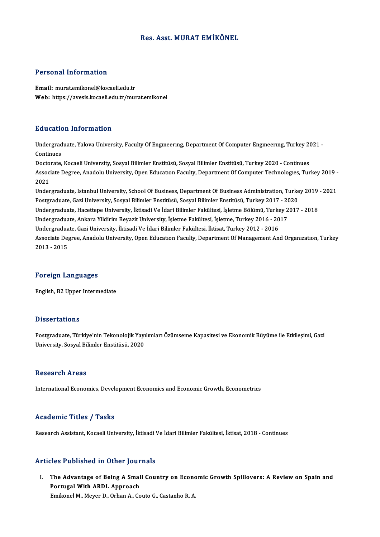#### Res. Asst.MURAT EMİKÖNEL

#### Personal Information

Email: murat.emikonel@kocaeli.edu.tr Web: https://avesis.kocaeli.edu.tr/murat.emikonel

#### Education Information

**Education Information**<br>Undergraduate, Yalova University, Faculty Of Engıneerıng, Department Of Computer Engıneerıng, Turkey 2021 -<br>Continues La acaes<br>Undergrad<br>Continues Undergraduate, Yalova University, Faculty Of Engmeering, Department Of Computer Engmeering, Turkey 20<br>Continues<br>Doctorate, Kocaeli University, Sosyal Bilimler Enstitüsü, Sosyal Bilimler Enstitüsü, Turkey 2020 - Continues<br>A

Continues<br>Doctorate, Kocaeli University, Sosyal Bilimler Enstitüsü, Sosyal Bilimler Enstitüsü, Turkey 2020 - Continues<br>Associate Degree, Anadolu University, Open Education Faculty, Department Of Computer Technologies, Turk Docto<br>Assoc:<br>2021<br>Under Associate Degree, Anadolu University, Open Education Faculty, Department Of Computer Technologies, Turkey 2019<br>2021<br>Undergraduate, Istanbul University, School Of Business, Department Of Business Administration, Turkey 2019

2021<br>Undergraduate, Istanbul University, School Of Business, Department Of Business Administration, Turke<br>Postgraduate, Gazi University, Sosyal Bilimler Enstitüsü, Sosyal Bilimler Enstitüsü, Turkey 2017 - 2020<br>Undergraduat Undergraduate, Istanbul University, School Of Business, Department Of Business Administration, Turkey 2019<br>Postgraduate, Gazi University, Sosyal Bilimler Enstitüsü, Sosyal Bilimler Enstitüsü, Turkey 2017 - 2020<br>Undergradua Postgraduate, Gazi University, Sosyal Bilimler Enstitüsü, Sosyal Bilimler Enstitüsü, Turkey 2017 - 20<br>Undergraduate, Hacettepe University, İktisadi Ve İdari Bilimler Fakültesi, İşletme Bölümü, Turkey 2<br>Undergraduate, Ankar Undergraduate, Hacettepe University, İktisadi Ve İdari Bilimler Fakültesi, İşletme Bölümü, Turke<br>Undergraduate, Ankara Yildirim Beyazit University, İşletme Fakültesi, İşletme, Turkey 2016 - 20<br>Undergraduate, Gazi Universit Associate Degree, Anadolu University, Open Education Faculty, Department Of Management And Organization, Turkey<br>2013 - 2015 Undergraduate, Gazi University, İktisadi Ve İdari Bilimler Fakültesi, İktisat, Turkey 2012 - 2016

#### Foreign Languages

English,B2Upper Intermediate

#### **Dissertations**

Postgraduate, Türkiye'nin Tekonolojik Yayılımları Özümseme Kapasitesi ve Ekonomik Büyüme ile Etkileşimi, Gazi University, Sosyal Bilimler Enstitüsü, 2020

#### **Research Areas**

International Economics, Development Economics and Economic Growth, Econometrics

#### Academic Titles / Tasks

Research Assistant, Kocaeli University, İktisadi Ve İdari Bilimler Fakültesi, İktisat, 2018 - Continues

#### Articles Published in Other Journals

rticles Published in Other Journals<br>I. The Advantage of Being A Small Country on Economic Growth Spillovers: A Review on Spain and<br>Restured With APPL Annueach The Advantage of Being A Small<br>Portugal With ARDL Approach<br>Emilianal M. Mayor D. Orban A. Co The Advantage of Being A Small Country on Econc<br>Portugal With ARDL Approach<br>Emikönel M., Meyer D., Orhan A., Couto G., Castanho R. A.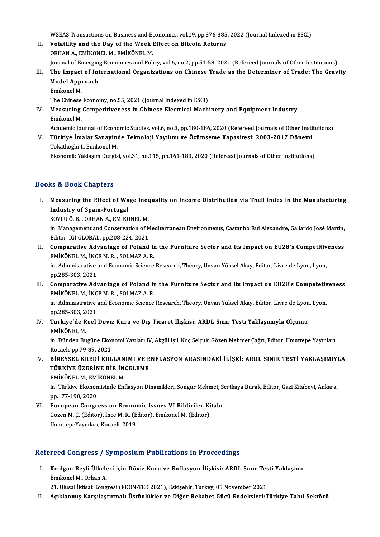WSEAS Transactions on Business and Economics, vol.19, pp.376-385, 2022 (Journal Indexed in ESCI)<br>Volatility and the Day of the Week Effect on Biteoin Petunne

- WSEAS Transactions on Business and Economics, vol.19, pp.376-385<br>II. Volatility and the Day of the Week Effect on Bitcoin Returns<br>OPHAN A, EMIZÖNEL M, EMIZÖNEL M WSEAS Transactions on Business and Economic Volatility and the Day of the Week I<br>ORHAN A., EMİKÖNEL M., EMİKÖNEL M.<br>Journal of Emerging Economics and Poli II. Volatility and the Day of the Week Effect on Bitcoin Returns<br>ORHAN A., EMIKÖNEL M., EMIKÖNEL M.<br>Journal of Emerging Economies and Policy, vol.6, no.2, pp.51-58, 2021 (Refereed Journals of Other Institutions)
- III. The Impact of International Organizations on Chinese Trade as the Determiner of Trade: The Gravity Journal of Emerging<br>The Impact of Int<br>Model Approach<br>Emikänel M The Impact<br>Model Appi<br>Emikönel M.<br>The Chinese Model Approach<br>Emikönel M.<br>The Chinese Economy, no.55, 2021 (Journal Indexed in ESCI)<br>Measuring Compotitiveness in Chinese Electrical Mash

Emikönel M.<br>The Chinese Economy, no.55, 2021 (Journal Indexed in ESCI)<br>IV. Measuring Competitiveness in Chinese Electrical Machinery and Equipment Industry<br>Emikönel M. The Chinese<br>Measuring<br>Emikönel M.<br>Academic Jeu Measuring Competitiveness in Chinese Electrical Machinery and Equipment Industry<br>Emikönel M.<br>Academic Journal of Economic Studies, vol.6, no.3, pp.180-186, 2020 (Refereed Journals of Other Institutions)<br>Türkiye İmelat Sana

Emikönel M.<br>Academic Journal of Economic Studies, vol.6, no.3, pp.180-186, 2020 (Refereed Journals of Other Insti<br>V. Türkiye İmalat Sanayinde Teknoloji Yayılımı ve Özümseme Kapasitesi: 2003-2017 Dönemi<br>Teknoğlu İ. Emik V. Türkiye İmalat Sanayinde Teknoloji Yayılımı ve Özümseme Kapasitesi: 2003-2017 Dönemi<br>Tokatlıoğlu İ., Emikönel M.

Ekonomik Yaklaşım Dergisi, vol.31, no.115, pp.161-183, 2020 (Refereed Journals of Other Institutions)

#### Books&Book Chapters

ooks & Book Chapters<br>I. Measuring the Effect of Wage Inequality on Income Distribution via Theil Index in the Manufacturing<br>Industry of Spain Pertugal Industry of Shapters<br>Industry of Spain-Portugal<br>SOVI II Ö B. OPHAN A. FMIVÖ

Industry of Spain-Portugal<br>SOYLUÖ.B., ORHAN A., EMİKÖNEL M.

Industry of Spain-Portugal<br>SOYLU Ö. B. , ORHAN A., EMİKÖNEL M.<br>in: Management and Conservation of Mediterranean Environments, Castanho Rui Alexandre, Gallardo José Martín,<br>Editor, JCLCLOBAL, np.208.224.2021. SOYLU Ö. B. , ORHAN A., EMİKÖNEL M.<br>in: Management and Conservation of M<br>Editor, IGI GLOBAL, pp.208-224, 2021<br>Comparative Advantage of Beland In: Management and Conservation of Mediterranean Environments, Castanho Rui Alexandre, Gallardo José Martín,<br>Editor, IGI GLOBAL, pp.208-224, 2021<br>II. Comparative Advantage of Poland in the Furniture Sector and Its Impact o

- Editor, IGI GLOBAL, pp.208-224, 2021<br>Comparative Advantage of Poland in<br>EMİKÖNEL M., İNCE M. R. , SOLMAZ A. R. Comparative Advantage of Poland in the Furniture Sector and Its Impact on EU28's Competitiv<br>EMİKÖNEL M., İNCE M. R. , SOLMAZ A. R.<br>in: Administrative and Economic Science Research, Theory, Unvan Yüksel Akay, Editor, Livre EMİKÖNEL M., İNCE M. R. , SOLMAZ A. R.<br>in: Administrative and Economic Science Research, Theory, Unvan Yüksel Akay, Editor, Livre de Lyon, Lyon,<br>pp.285-303, 2021
- III. Comparative Advantage of Poland in the Furniture Sector and its Impact on EU28's Competetiveness EMİKÖNELM., İNCEM.R. ,SOLMAZA.R. Comparative Advantage of Poland in the Furniture Sector and its Impact on EU28's Competetiv<br>EMİKÖNEL M., İNCE M. R. , SOLMAZ A. R.<br>in: Administrative and Economic Science Research, Theory, Unvan Yüksel Akay, Editor, Livre

EMIKÖNEL M., İNC<br>in: Administrative<br>pp.285-303, 2021<br>Türkiye'de Beel In: Administrative and Economic Science Research, Theory, Unvan Yüksel Akay, Editor, Livre de Lyon<br>pp.285-303, 2021<br>IV. Türkiye'de Reel Döviz Kuru ve Dış Ticaret İlişkisi: ARDL Sınır Testi Yaklaşımıyla Ölçümü<br>EMİKÖNEL

pp.285-303, 2<br><mark>Türkiye'de R</mark><br>EMİKÖNEL M.<br>in: Dünden Bu Türkiye'de Reel Döviz Kuru ve Dış Ticaret İlişkisi: ARDL Sınır Testi Yaklaşımıyla Ölçümü<br>EMİKÖNEL M.<br>in: Dünden Bugüne Ekonomi Yazıları IV, Akgül Işıl, Koç Selçuk, Gözen Mehmet Çağrı, Editor, Umuttepe Yayınları,<br>Kosasli pp

EMİKÖNEL M.<br>in: Dünden Bugüne Ekonomi Yazıları IV, Akgül Işıl, Koç Selçuk, Gözen Mehmet Çağrı, Editor, Umuttepe Yayınları,<br>Kocaeli, pp.79-89, 2021 in: Dünden Bugüne Ekonomi Yazıları IV, Akgül Işıl, Koç Selçuk, Gözen Mehmet Çağrı, Editor, Umuttepe Yayınları,<br>Kocaeli, pp.79-89, 2021<br>V. BİREYSEL KREDİ KULLANIMI VE ENFLASYON ARASINDAKİ İLİŞKİ: ARDL SINIR TESTİ YAKLAŞ

Kocaeli, pp.79-89, 2021<br>BİREYSEL KREDİ KULLANIMI VE E<br>TÜRKİYE ÜZERİNE BİR İNCELEME<br>EMİKÖNEL M. EMİKÖNEL M BİREYSEL KREDİ KULLAN<br>TÜRKİYE ÜZERİNE BİR İN<br>EMİKÖNEL M., EMİKÖNEL M.<br>in: Türkiye Ekonomisinde Ent

TÜRKİYE ÜZERİNE BİR İNCELEME<br>EMİKÖNEL M., EMİKÖNEL M.<br>in: Türkiye Ekonomisinde Enflasyon Dinamikleri, Songur Mehmet, Sertkaya Burak, Editor, Gazi Kitabevi, Ankara,<br>nn 177 190 2020 EMİKÖNEL M., EMİ<br>in: Türkiye Ekonon<br>pp.177-190, 2020<br>Euronean Consr in: Türkiye Ekonomisinde Enflasyon Dinamikleri, Songur Mehmet, S<br>pp.177-190, 2020<br>VI. European Congress on Economic Issues VI Bildiriler Kitabı<br>Gören M. G. (Editor), Inge M. B. (Editor), Emiltönel M. (Editor)

pp.177-190, 2020<br><mark>European Congress on Economic Issues VI Bildiriler Ki</mark><br>Gözen M. Ç. (Editor), İnce M. R. (Editor), Emikönel M. (Editor)<br>UmuttanaVayınları, Kasaeli, 2019 European Congress on Econol<br>Gözen M. Ç. (Editor), İnce M. R. (E<br>UmuttepeYayınları, Kocaeli, 2019

# UmuttepeYayınları, Kocaeli, 2019<br>Refereed Congress / Symposium Publications in Proceedings

efereed Congress / Symposium Publications in Proceedings<br>I. Kırılgan Beşli Ülkeleri için Döviz Kuru ve Enflasyon İlişkisi: ARDL Sınır Testi Yaklaşımı<br>Finikânel M. Orban A rəca dəngrəsə yer<br>Kırılgan Beşli Ülkele<br>Emikönel M., Orhan A. Kırılgan Beşli Ülkeleri için Döviz Kuru ve Enflasyon İlişkisi: ARDL Sınır Tes<br>Emikönel M., Orhan A.<br>21. Ulusal İktisat Kongresi (EKON-TEK 2021), Eskişehir, Turkey, 05 November 2021<br>Asıklanmış Karşılaştırmalı Üstünlükler ve

Emikönel M., Orhan A.<br>21. Ulusal İktisat Kongresi (EKON-TEK 2021), Eskişehir, Turkey, 05 November 2021<br>II. Açıklanmış Karşılaştırmalı Üstünlükler ve Diğer Rekabet Gücü Endeksleri:Türkiye Tahıl Sektörü